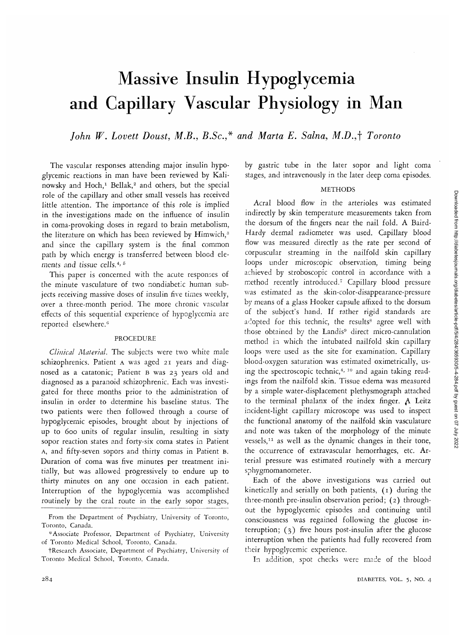# Massive Insulin Hypoglycemia and Capillary Vascular Physiology in Man

*John W. Lovett Doust, M.B., B.Sc.,\* and Maria E. Salna, M.D.,\ Toronto*

The vascular responses attending major insulin hypoglycemic reactions in man have been reviewed by Kalinowsky and Hoch,<sup>1</sup> Bellak,<sup>2</sup> and others, but the special role of the capillary and other small vessels has received little attention. The importance of this role is implied in the investigations made on the influence of insulin in coma-provoking doses in regard to brain metabolism, the literature on which has been reviewed by Himwich,<sup>3</sup> and since the capillary system is the final common path by which energy is transferred between blood elements and tissue cells.<sup>4, 5</sup>

This paper is concerned with the acute responses of the minute vasculature of two nondiabetic human subjects receiving massive doses of insulin five times weekly, over a three-month period. The more chronic vascular effects of this sequential experience of hypoglycemia are reported elsewhere.<sup>6</sup>

### PROCEDURE

*Clinical Alaterial.* The subjects were two white male schizophrenics. Patient A was aged 21 years and diagnosed as a cataronic; Patient B was 23 years old and diagnosed as a paranoid schizophrenic. Each was investigated for three months prior to the administration of insulin in order to determine his baseline status. The two patients were then followed through a course of hypoglycemic episodes, brought about by injections of up to 600 units of regular insulin, resulting in sixty sopor reaction states and forty-six coma states in Patient A, and fifty-seven sopors and thirty comas in Patient B. Duration of coma was five minutes per treatment initially, but was allowed progressively to endure up to thirty minutes on any one occasion in each patient. Interruption of the hypoglycemia was accomplished routinely by the oral route in the early sopor stages, by gastric tube in the later sopor and light coma stages, and intravenously in the later deep coma episodes.

#### METHODS

Acral blood flow in the arterioles was estimated indirectly by skin temperature measurements taken from the dorsum of the fingers near the nail fold. A Baird-Hardy dermal radiometer was used. Capillary blood flow was measured directly as the rate per second of corpuscular streaming in the nailfold skin capillary loops under microscopic observation, timing being achieved by stroboscopic control in accordance with a method recently introduced.7 Capillary blood pressure was estimated as the skin-color-disappearance-pressure by means of a glass Hooker capsule affixed to the dorsum of the subject's hand. If rather rigid standards are adopted for this technic, the results agree well with those obtained by the Landis<sup>9</sup> direct micro-cannulation method in which the intubated nailfold skin capillary loops were used as the site for examination. Capillary blood-oxygen saturation was estimated oximetrically, using the spectroscopic technic.<sup>4, 10</sup> and again taking readings from the nailfold skin. Tissue edema was measured by a simple water-displacement plethysmograph attached to the terminal phalanx of the index finger. A Leitz incident-light capillary microscope was used to inspect the functional anatomy of the nailfold skin vasculature and note was taken of the morphology of the minute what hold was taken of the morphology of the finance the occurrence of extravascular hemorrhages, etc. Arterial pressure was estimated routinely with a mercury sphygmomanometer.

Each of the above investigations was carried out kinetically and serially on both patients, (1) during the three-month pre-insulin observation period; (2) throughout the hypoglycemic episodes and continuing until consciousness was regained following the glucose interruption; (3) five hours post-insulin after the glucose interruption when the patients had fully recovered from their hypoglycemic experience.

In addition, spot checks were made of the blood

From the Department of Psychiatry, University of Toronto, Toronto, Canada.

<sup>\*</sup> Associate Professor, Department of Psychiatry, University of Toronto Medical School, Toronto, Canada.

tResearch Associate, Department of Psychiatry, University of Toronto Medical School, Toronto, Canada.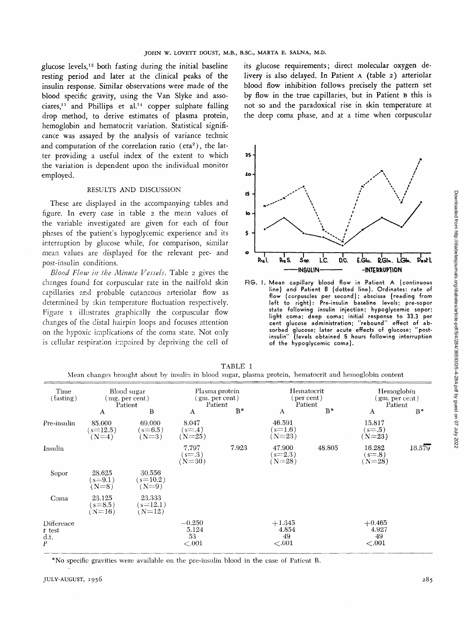**glucose levels,<sup>12</sup> both fasting during the initial baseline resting period and later at the clinical peaks of the insulin response. Similar observations were made of the blood specific gravity, using the Van Slyke and associates,<sup>13</sup> and Phillips et al.<sup>14</sup> copper sulphate falling drop method, to derive estimates of plasma protein, hemoglobin and** hematocrit **variation. Statistical** significance **was assayed by the analysis of** variance **technic** and **computation** of **the** correlation ratio (**eta<sup>2</sup>** ), the latter providing a useful index **of** the extent to which the variation is dependent upon the individual monitor employed.

#### RESULTS AND DISCUSSION

These are displayed in the accompanying tables and figure. In every case in table 2 the mean values of the variable investigated are given for each of four phases of the patient's hypoglycemic experience and its interruption by glucose while, for comparison, similar mean values are displayed for the relevant pre- and post-insulin conditions.

*Blood Flow in the Minute Vessels.* Table 2 gives the changes found for corpuscular rate in the nailfold skin capillaries and probable cutaneous arteriolar flow as determined by skin temperature fluctuation respectively. Figure I illustrates graphically the corpuscular flow changes of the distal hairpin loops and focuses attention on the hypoxic implications of the coma state. Not only is cellular respiration impaired by depriving the cell of

**its glucose requirements; direct molecular oxygen delivery is also delayed. In Patient A (table 2) arteriolar blood flow inhibition follows precisely the pattern set by flow in the true capillaries, but in Patient B this is not so and the paradoxical rise in skin temperature at the deep coma phase, and at a time when corpuscular**



FIG. I. Mean capillary blood flow in Patient A (continuous line) and Patient B (dotted line). Ordinates: rate of flow (corpuscles per second); abscissa (reading from left to right): Pre-insulin baseline levels; pre-sopor state following insulin injection; hypoglycemic sopor; light coma; deep coma; initial response to 33.3 per cent glucose administration; "rebound" effect of absorbed glucose; later acute effects of glucose; "postinsulin" (levels obtained 5 hours following interruption of the hypoglycemic coma).

|                                                    |                                          |                                  |                                                |       |                                           |        | меан спандеs отоидне ароне ру низина не рюби зидат, разниа ртосент, непласостте ани неподборні соцене |             |
|----------------------------------------------------|------------------------------------------|----------------------------------|------------------------------------------------|-------|-------------------------------------------|--------|-------------------------------------------------------------------------------------------------------|-------------|
| Time<br>(fasting)                                  | Blood sugar<br>(mg. per cent)<br>Patient |                                  | Plasma protein<br>$(g_m, per cent)$<br>Patient |       | Hematocrit<br>$($ per cent $)$<br>Patient |        | Hemoglobin<br>(gm. per cent)<br>Patient                                                               |             |
|                                                    | A                                        | B                                | A                                              | $B^*$ | A                                         | $B^*$  | A                                                                                                     | $B^{\circ}$ |
| Pre-insulin                                        | 85,000<br>$(s=12.5)$<br>$(N=4)$          | 69.000<br>$(s=6.5)$<br>$(N=3)$   | 8.047<br>$(s=0.4)$<br>$(N=25)$                 |       | 46.591<br>$(s=1.6)$<br>$N=23$ )           |        | 15.817<br>$(s=0.5)$<br>$(N=23)$                                                                       |             |
| Insulin                                            |                                          |                                  | 7.797<br>$s = 0.3$<br>( $N=30$ )               | 7.923 | 47.900<br>$(s=2.3)$<br>$N = 28$           | 48.805 | 16.282<br>$s = 0.8$<br>( $N=28$ )                                                                     | 16.579      |
| Sopor                                              | 28.625<br>$s = 9.1$<br>$N=8$ )           | 30,556<br>$(s=10.2)$<br>$(N=9)$  |                                                |       |                                           |        |                                                                                                       |             |
| Coma                                               | 23.125<br>$s = 8.5$ )<br>$(N=16)$        | 23.333<br>$(s=12.1)$<br>$(N=12)$ |                                                |       |                                           |        |                                                                                                       |             |
| Difference<br>$t$ test<br>d.f.<br>$\boldsymbol{P}$ |                                          |                                  | $-0.250$<br>5.124<br>53<br>${<}.001$           |       | $+1.345$<br>4.854<br>49<br>${<}.001$      |        | $+0.465$<br>4.927<br>49<br>${<}.001$                                                                  |             |

TABLE 1 Mean changes brought about by insulin in blood sugar, plasma protein, hematocrit and hemoglobin content

\*No specific gravities were available on the pre-insulin blood in the case of Patient B.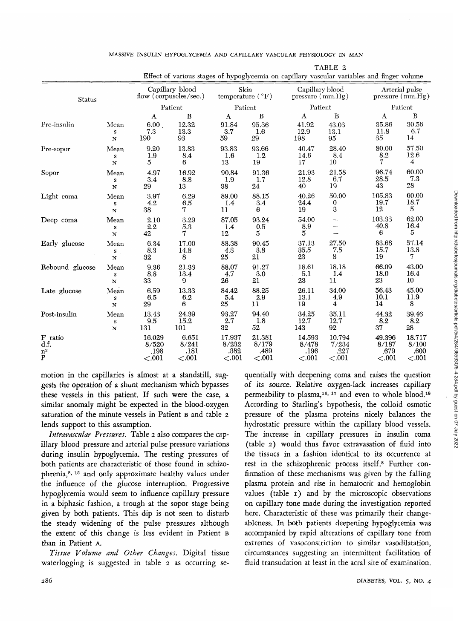|                                        |                          |                                      |                                     |                                   |                                    |                                      |                                      | Effect of various stages of hypoglycemia on capillary vascular variables and finger volume |                                      |
|----------------------------------------|--------------------------|--------------------------------------|-------------------------------------|-----------------------------------|------------------------------------|--------------------------------------|--------------------------------------|--------------------------------------------------------------------------------------------|--------------------------------------|
| Status                                 |                          | Capillary blood                      |                                     | Skin                              |                                    | Capillary blood                      |                                      | Arterial pulse                                                                             |                                      |
|                                        |                          | flow (corpuscles/sec.)               |                                     | temperature $(°F)$                |                                    | pressure $(\text{mm.Hg})$            |                                      | pressure $\text{(mm.Hg)}$                                                                  |                                      |
|                                        |                          | Patient                              |                                     | Patient                           |                                    | Patient                              |                                      | Patient                                                                                    |                                      |
|                                        |                          | A                                    | B                                   | A                                 | B                                  | $\mathbf{A}$                         | B                                    | A                                                                                          | B                                    |
| Pre-insulin                            | Mean                     | 6.00                                 | 12.32                               | 91.84                             | 95.36                              | 41.92                                | 43.03                                | 35.86                                                                                      | 30.56                                |
|                                        | S                        | 7.3                                  | 13.3                                | 3.7                               | 1.6                                | 12.9                                 | 13.1                                 | 11.8                                                                                       | 6.7                                  |
|                                        | $\mathbf N$              | 190                                  | 93                                  | 59                                | 29                                 | 198                                  | 95                                   | 35                                                                                         | 14                                   |
| Pre-sopor                              | Mean<br>${\bf S}$<br>N   | 9.20<br>1.9<br>5                     | 13.83<br>8.4<br>6                   | 93.83<br>1.6<br>13                | 93.66<br>1.2<br>19                 | 40.47<br>14.6<br>17                  | 28.40<br>8.4<br>10                   | 80.00<br>8.2                                                                               | 57.50<br>12.6<br>4                   |
| Sopor                                  | Mean                     | 4.97                                 | 16.92                               | 90.84                             | 91.36                              | 21.93                                | 21.58                                | 96.74                                                                                      | 60.00                                |
|                                        | ${\bf S}$                | 3.4                                  | 8.8                                 | 1.9                               | 1.7                                | 12.8                                 | 6.7                                  | 28.5                                                                                       | 7.3                                  |
|                                        | N                        | 29                                   | 13                                  | 38                                | 24                                 | 40                                   | 19                                   | 43                                                                                         | 28                                   |
| Light coma                             | Mean                     | 3.97                                 | 6.29                                | 89.00                             | 88.15                              | 40.26                                | 50.00                                | 105.83                                                                                     | 60.00                                |
|                                        | s                        | 4.2                                  | 6.5                                 | 1.4                               | 3.4                                | 24.4                                 | $\boldsymbol{0}$                     | 19.7                                                                                       | 18.7                                 |
|                                        | N                        | 38                                   | 7                                   | 11                                | 6                                  | 19                                   | 3                                    | 12                                                                                         | 5                                    |
| Deep coma                              | Mean<br>S<br>$\mathbf N$ | 2.10<br>2.2<br>42                    | 3.29<br>5.3<br>7                    | 87.05<br>1.4<br>12                | 93.24<br>$0.5\,$<br>$\overline{5}$ | 54.00<br>8.9<br>5                    |                                      | 103.33<br>40.8<br>6                                                                        | 62.00<br>16.4<br>5                   |
| Early glucose                          | Mean                     | 6.34                                 | 17.00                               | 88.38                             | 90.45                              | 37.13                                | 27.50                                | 83.68                                                                                      | 57.14                                |
|                                        | s                        | 8.3                                  | 14.8                                | 4.3                               | 3.8                                | 35.5                                 | 7.5                                  | 15.7                                                                                       | 13.8                                 |
|                                        | N                        | 32                                   | 8                                   | 25                                | 21                                 | 23                                   | 8                                    | 19                                                                                         | 7                                    |
| Rebound glucose                        | Mean                     | 9.36                                 | 21.33                               | 88.07                             | 91.27                              | 18.61                                | 18.18                                | 66.09                                                                                      | 43.00                                |
|                                        | $\boldsymbol{s}$         | 8.8                                  | 13.4                                | 4.7                               | 3.0                                | 5.1                                  | 1.4                                  | 18.0                                                                                       | 16.4                                 |
|                                        | $\mathbf N$              | 33                                   | 9                                   | 26                                | 21                                 | 23                                   | 11                                   | 23                                                                                         | 10                                   |
| Late glucose                           | Mean                     | 6.59                                 | 13.33                               | 84.42                             | 88.25                              | 26.11                                | 34.00                                | 56.43                                                                                      | 45.00                                |
|                                        | $\boldsymbol{S}$         | 6.5                                  | 6.2                                 | 5.4                               | 2.9                                | 13.1                                 | 4.9                                  | 10.1                                                                                       | 11.9                                 |
|                                        | N                        | 29                                   | 6                                   | 25                                | 11                                 | 19                                   | 4                                    | 14                                                                                         | 8                                    |
| Post-insulin                           | Mean                     | 13.43                                | 24.39                               | 93.27                             | 94.40                              | 34.25                                | 35.11                                | 44.32                                                                                      | 39.46                                |
|                                        | ${\bf S}$                | 9.5                                  | 15.2                                | 2.7                               | 1.8                                | 12.7                                 | 12.7                                 | 8.2                                                                                        | 8.2                                  |
|                                        | $\bf N$                  | 131                                  | 101                                 | 32                                | 52                                 | 143                                  | 92                                   | 37                                                                                         | 28                                   |
| F ratio<br>d.f.<br>n <sup>2</sup><br>P |                          | 16.029<br>8/520<br>.198<br>${<}.001$ | 6.651<br>8/241<br>.181<br>${<}.001$ | 17.937<br>8/232<br>.382<br>< .001 | 21.381<br>8/179<br>.489<br><.001   | 14.593<br>8/478<br>.196<br>${<}.001$ | 10.794<br>7/234<br>.227<br>${<}.001$ | 49.396<br>8/187<br>.679<br>${<}.001$                                                       | 18.717<br>8/100<br>.600<br>${<}.001$ |

MASSIVE INSULIN HYPOGLYCEMIA AND CAPILLARY VASCULAR PHYSIOLOGY IN MAN

TABLE 2

motion in the capillaries is almost at a standstill, suggests the operation of a shunt mechanism which bypasses these vessels in this patient. If such were the case, a similar anomaly might be expected in the blood-oxygen saturation of the minute vessels in Patient B and table 2 lends support to this assumption.

*Intravascular Pressures.* Table 2 also compares the capillary blood pressure and arterial pulse pressure variations during insulin hypoglycemia. The resting pressures of both patients are characteristic of those found in schizophrenia,<sup>8, 15</sup> and only approximate healthy values under the influence of the glucose interruption. Progressive hypoglycemia would seem to influence capillary pressure in a biphasic fashion, a trough at the sopor stage being given by both patients. This dip is not seen to disturb the steady widening of the pulse pressures although the extent of this change is less evident in Patient B than in Patient A.

*Tissue Volume and Other Changes.* Digital tissue waterlogging is suggested in table 2 as occurring sequentially with deepening coma and raises the question of its source. Relative oxygen-lack increases capillary permeability to plasma,<sup>16, 17</sup> and even to whole blood.<sup>18</sup> According to Starling's hypothesis, the colloid osmotic pressure of the plasma proteins nicely balances the hydrostatic pressure within the capillary blood vessels. The increase in capillary pressures in insulin coma (table 2) would thus favor extravasation of fluid into the tissues in a fashion identical to its occurrence at rest in the schizophrenic process itself.8 Further confirmation of these mechanisms was given by the falling plasma protein and rise in hematocrit and hemoglobin values (table 1) and by the microscopic observations on capillary tone made during the investigation reported here. Characteristic of these was primarily their changeableness. In both patients deepening hypoglycemia was accompanied by rapid alterations of capillary tone from extremes of vasoconstriction to similar vasodilatation, circumstances suggesting an intermittent facilitation of fluid transudation at least in the acral site of examination.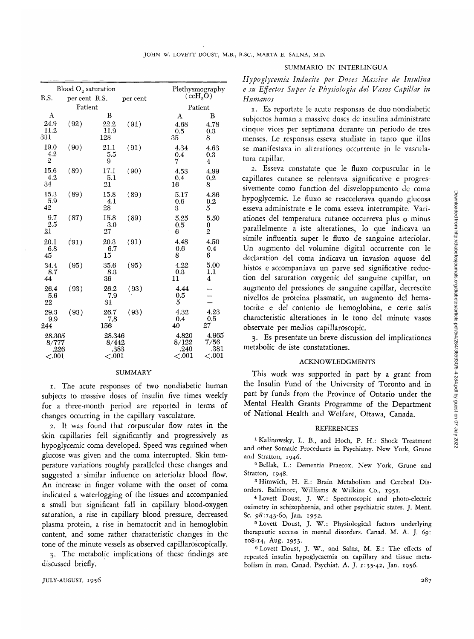| R.S.                                 | Blood $O_2$ saturation   | Plethysmography<br>$(\mathrm{ccH_2O})$ |          |                                    |                                    |  |
|--------------------------------------|--------------------------|----------------------------------------|----------|------------------------------------|------------------------------------|--|
|                                      | per cent R.S.<br>Patient |                                        | per cent | Patient                            |                                    |  |
| A                                    |                          |                                        |          |                                    |                                    |  |
| 24.9<br>11.2<br>331                  | (92)                     | B<br>22.2<br>11.9<br>128               | (91)     | A<br>4.68<br>0.5<br>35             | в<br>4.78<br>0.3<br>8              |  |
| 19.0<br>4.2<br>2                     | (90)                     | 21.1<br>5.5<br>9                       | (91)     | 4.34<br>0.4<br>7                   | 4.63<br>0.3<br>4                   |  |
| 15.6<br>4.2<br>34                    | (89)                     | 17.1<br>5.1<br>21                      | (90)     | 4.53<br>0.4<br>16                  | 4.99<br>0.2<br>8                   |  |
| 15.3<br>5.9<br>42                    | (89)                     | 15.8<br>4.1<br>28                      | (89)     | 5.17<br>0.6<br>3                   | 4.86<br>0.2<br>5                   |  |
| 9.7<br>2.5<br>21                     | (87)                     | 15.8<br>3.0<br>27                      | (89)     | 5.25<br>0.5<br>6                   | 5.50<br>0<br>$\overline{2}$        |  |
| 20.1<br>6.8<br>45                    | (91)                     | 20.3<br>6.7<br>15                      | (91)     | 4.48<br>0.6<br>8                   | 4.50<br>0.4<br>6                   |  |
| 34.4<br>8.7<br>44                    | (95)                     | 35.6<br>8.3<br>36                      | (95)     | 4.22<br>0.3<br>11                  | 5.00<br>1.1<br>4                   |  |
| 26.4<br>5.6<br>22                    | (93)                     | 26.2<br>7.9<br>31                      | (93)     | 4.44<br>0.5<br>5                   |                                    |  |
| 29.3<br>9.9<br>244                   | (93)                     | 26.7<br>7.8<br>156                     | (93)     | 4.32<br>0.4<br>40                  | 4.23<br>0.5<br>27                  |  |
| 28.305<br>8/777<br>.226<br>${<}.001$ |                          | 28.346<br>8/442<br>.383<br><.001       |          | 4.820<br>8/122<br>.240<br>$<$ .001 | 4.965<br>7/56<br>.381<br>${<}.001$ |  |

## SUMMARY

1. The acute responses of two nondiabetic human subjects to massive doses of insulin five times weekly for a three-month period are reported in terms of changes occurring in the capillary vasculature.

2. It was found that corpuscular flow rates in the skin capillaries fell significantly and progressively as hypoglycemic coma developed. Speed was regained when glucose was given and the coma interrupted. Skin temperature variations roughly paralleled these changes and suggested a similar influence on arteriolar blood flow. An increase in finger volume with the onset of coma indicated a waterlogging of the tissues and accompanied a small but significant fall in capillary blood-oxygen saturation, a rise in capillary blood pressure, decreased plasma protein, a rise in hematocrit and in hemoglobin content, and some rather characteristic changes in the tone of the minute vessels as observed capillaroscopically.

3. The metabolic implications of these findings are discussed briefly.

#### SUMMARIO IN INTERLINGUA

*Hypoglycemia Inducite per Doses Massive de Insulina e su Effectos Super le Physiologia del Vasos Capillar in Human os*

1. Es reportate le acute responsas de duo nondiabetic subjectos human a massive doses de insulina administrate cinque vices per septimana durante un periodo de tres menses. Le responsas esseva studiate in tanto que illos se manifestava in alterationes occurrente in le vasculatura capillar.

2. Esseva constatate que le fluxo corpuscular in le capillares cutanee se relentava significative e progressivemente como function del disveloppamento de coma hypoglycemic. Le fluxo se reaccelerava quando glucosa esseva administrate e le coma esseva interrumpite. Variationes del temperatura cutanee occurreva plus o minus parallelmente a iste alterationes, lo que indicava un simile influentia super le fluxo de sanguine arteriolar. Un augmento del volumine digital occurrente con le declaration del coma indicava un invasion aquose del histos e accompaniava un parve sed significative reduction del saturation oxygenic del sanguine capillar, un augmento del pressiones de sanguine capillar, decrescite nivellos de proteina plasmatic, un augmento del hematocrite e del contento de hemoglobina, e certe satis characteristic alterationes in le tono del minute vasos observate per medios capillaroscopic.

3. Es presentate un breve discussion del implicationes metabolic de iste constatationes.

### ACKNOWLEDGMENTS

This work was supported in part by a grant from the Insulin Fund of the University of Toronto and in part by funds from the Province of Ontario under the Mental Health Grants Programme of the Department of National Health and Welfare, Ottawa, Canada.

#### **REFERENCES**

1 Kalinowsky, L. B., and Hoch, P. H.: Shock Treatment and other Somatic Procedures in Psychiatry. New York, Grune and Stratton, 1946.

<sup>2</sup> Bellak, L.: Dementia Praecox. New York, Grune and Stratton, 1948.

<sup>3</sup> Himwich, H. E.: Brain Metabolism and Cerebral Disorders. Baltimore, Williams & Wilkins Co., 1951. <sup>4</sup>

 Lovett Doust, J. W.: Spectroscopic and photo-electric oximetry in schizophrenia, and other psychiatric states. J. Ment. Sc. 98:143-60, Jan. 1952.

 Lovett Doust, J. W.: Physiological factors underlying therapeutic success in mental disorders. Canad. M. A. J. *69:* 108-14, Aug. 1953. <sup>6</sup>

 Lovett Doust, J. W., and Salna, M. E.: The effects of repeated insulin hypoglycaemia on capillary and tissue metabolism in man. Canad. Psychiat. A. J. 1:35-42, Jan. 1956.